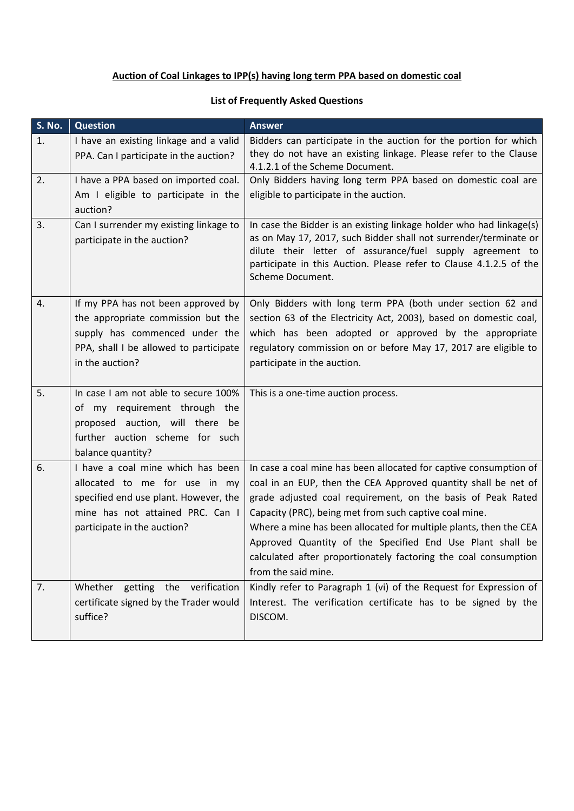## **Auction of Coal Linkages to IPP(s) having long term PPA based on domestic coal**

## **List of Frequently Asked Questions**

| <b>S. No.</b> | <b>Question</b>                                                                                                                                                                | <b>Answer</b>                                                                                                                                                                                                                                                                                                                                                                                                                                                                            |
|---------------|--------------------------------------------------------------------------------------------------------------------------------------------------------------------------------|------------------------------------------------------------------------------------------------------------------------------------------------------------------------------------------------------------------------------------------------------------------------------------------------------------------------------------------------------------------------------------------------------------------------------------------------------------------------------------------|
| 1.            | I have an existing linkage and a valid<br>PPA. Can I participate in the auction?                                                                                               | Bidders can participate in the auction for the portion for which<br>they do not have an existing linkage. Please refer to the Clause<br>4.1.2.1 of the Scheme Document.                                                                                                                                                                                                                                                                                                                  |
| 2.            | I have a PPA based on imported coal.                                                                                                                                           | Only Bidders having long term PPA based on domestic coal are                                                                                                                                                                                                                                                                                                                                                                                                                             |
|               | Am I eligible to participate in the<br>auction?                                                                                                                                | eligible to participate in the auction.                                                                                                                                                                                                                                                                                                                                                                                                                                                  |
| 3.            | Can I surrender my existing linkage to<br>participate in the auction?                                                                                                          | In case the Bidder is an existing linkage holder who had linkage(s)<br>as on May 17, 2017, such Bidder shall not surrender/terminate or<br>dilute their letter of assurance/fuel supply agreement to<br>participate in this Auction. Please refer to Clause 4.1.2.5 of the<br>Scheme Document.                                                                                                                                                                                           |
| 4.            | If my PPA has not been approved by<br>the appropriate commission but the<br>supply has commenced under the<br>PPA, shall I be allowed to participate<br>in the auction?        | Only Bidders with long term PPA (both under section 62 and<br>section 63 of the Electricity Act, 2003), based on domestic coal,<br>which has been adopted or approved by the appropriate<br>regulatory commission on or before May 17, 2017 are eligible to<br>participate in the auction.                                                                                                                                                                                               |
| 5.            | In case I am not able to secure 100%<br>of my requirement through the<br>proposed auction, will there be<br>further auction scheme for such<br>balance quantity?               | This is a one-time auction process.                                                                                                                                                                                                                                                                                                                                                                                                                                                      |
| 6.            | I have a coal mine which has been<br>allocated to me for use in my<br>specified end use plant. However, the<br>mine has not attained PRC. Can I<br>participate in the auction? | In case a coal mine has been allocated for captive consumption of<br>coal in an EUP, then the CEA Approved quantity shall be net of<br>grade adjusted coal requirement, on the basis of Peak Rated<br>Capacity (PRC), being met from such captive coal mine.<br>Where a mine has been allocated for multiple plants, then the CEA<br>Approved Quantity of the Specified End Use Plant shall be<br>calculated after proportionately factoring the coal consumption<br>from the said mine. |
| 7.            | Whether getting the verification<br>certificate signed by the Trader would<br>suffice?                                                                                         | Kindly refer to Paragraph 1 (vi) of the Request for Expression of<br>Interest. The verification certificate has to be signed by the<br>DISCOM.                                                                                                                                                                                                                                                                                                                                           |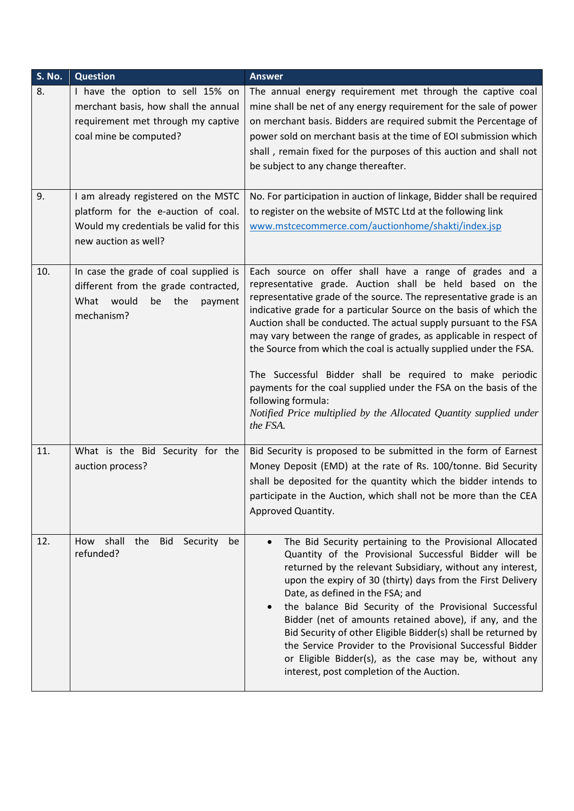| <b>S. No.</b> | <b>Question</b>                                                                                                                              | <b>Answer</b>                                                                                                                                                                                                                                                                                                                                                                                                                                                                                                                                                                                                                                                                                                           |
|---------------|----------------------------------------------------------------------------------------------------------------------------------------------|-------------------------------------------------------------------------------------------------------------------------------------------------------------------------------------------------------------------------------------------------------------------------------------------------------------------------------------------------------------------------------------------------------------------------------------------------------------------------------------------------------------------------------------------------------------------------------------------------------------------------------------------------------------------------------------------------------------------------|
| 8.            | I have the option to sell 15% on<br>merchant basis, how shall the annual<br>requirement met through my captive<br>coal mine be computed?     | The annual energy requirement met through the captive coal<br>mine shall be net of any energy requirement for the sale of power<br>on merchant basis. Bidders are required submit the Percentage of<br>power sold on merchant basis at the time of EOI submission which<br>shall, remain fixed for the purposes of this auction and shall not<br>be subject to any change thereafter.                                                                                                                                                                                                                                                                                                                                   |
| 9.            | I am already registered on the MSTC<br>platform for the e-auction of coal.<br>Would my credentials be valid for this<br>new auction as well? | No. For participation in auction of linkage, Bidder shall be required<br>to register on the website of MSTC Ltd at the following link<br>www.mstcecommerce.com/auctionhome/shakti/index.jsp                                                                                                                                                                                                                                                                                                                                                                                                                                                                                                                             |
| 10.           | In case the grade of coal supplied is<br>different from the grade contracted,<br>What would<br>be<br>the<br>payment<br>mechanism?            | Each source on offer shall have a range of grades and a<br>representative grade. Auction shall be held based on the<br>representative grade of the source. The representative grade is an<br>indicative grade for a particular Source on the basis of which the<br>Auction shall be conducted. The actual supply pursuant to the FSA<br>may vary between the range of grades, as applicable in respect of<br>the Source from which the coal is actually supplied under the FSA.<br>The Successful Bidder shall be required to make periodic<br>payments for the coal supplied under the FSA on the basis of the<br>following formula:<br>Notified Price multiplied by the Allocated Quantity supplied under<br>the FSA. |
| 11.           | What is the Bid Security for the<br>auction process?                                                                                         | Bid Security is proposed to be submitted in the form of Earnest<br>Money Deposit (EMD) at the rate of Rs. 100/tonne. Bid Security<br>shall be deposited for the quantity which the bidder intends to<br>participate in the Auction, which shall not be more than the CEA<br>Approved Quantity.                                                                                                                                                                                                                                                                                                                                                                                                                          |
| 12.           | shall<br>the<br>Bid<br>Security<br>How<br>be<br>refunded?                                                                                    | The Bid Security pertaining to the Provisional Allocated<br>$\bullet$<br>Quantity of the Provisional Successful Bidder will be<br>returned by the relevant Subsidiary, without any interest,<br>upon the expiry of 30 (thirty) days from the First Delivery<br>Date, as defined in the FSA; and<br>the balance Bid Security of the Provisional Successful<br>Bidder (net of amounts retained above), if any, and the<br>Bid Security of other Eligible Bidder(s) shall be returned by<br>the Service Provider to the Provisional Successful Bidder<br>or Eligible Bidder(s), as the case may be, without any<br>interest, post completion of the Auction.                                                               |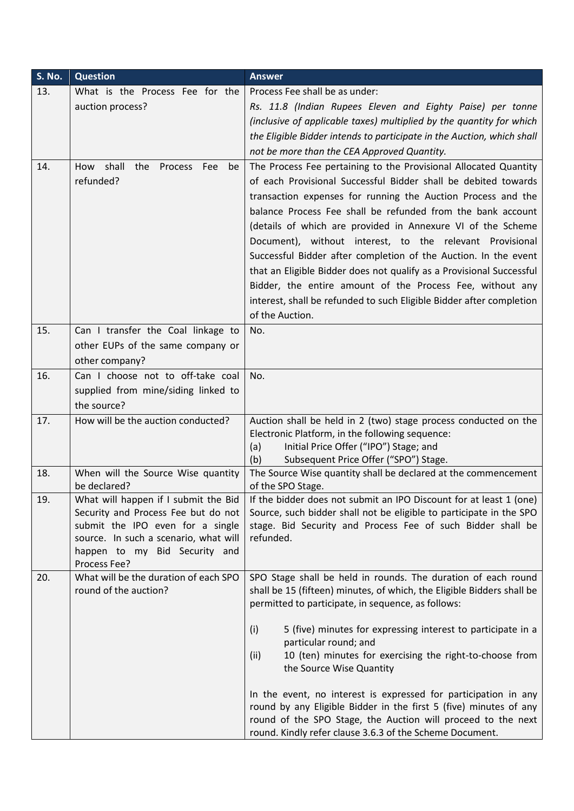| S. No. | <b>Question</b>                                                                                                                                                                                           | <b>Answer</b>                                                                                                                                                                                                                                                                                                                                                                                                                                                                                                                                                                                                                                                                                   |
|--------|-----------------------------------------------------------------------------------------------------------------------------------------------------------------------------------------------------------|-------------------------------------------------------------------------------------------------------------------------------------------------------------------------------------------------------------------------------------------------------------------------------------------------------------------------------------------------------------------------------------------------------------------------------------------------------------------------------------------------------------------------------------------------------------------------------------------------------------------------------------------------------------------------------------------------|
| 13.    | What is the Process Fee for the                                                                                                                                                                           | Process Fee shall be as under:                                                                                                                                                                                                                                                                                                                                                                                                                                                                                                                                                                                                                                                                  |
|        | auction process?                                                                                                                                                                                          | Rs. 11.8 (Indian Rupees Eleven and Eighty Paise) per tonne                                                                                                                                                                                                                                                                                                                                                                                                                                                                                                                                                                                                                                      |
|        |                                                                                                                                                                                                           | (inclusive of applicable taxes) multiplied by the quantity for which                                                                                                                                                                                                                                                                                                                                                                                                                                                                                                                                                                                                                            |
|        |                                                                                                                                                                                                           | the Eligible Bidder intends to participate in the Auction, which shall                                                                                                                                                                                                                                                                                                                                                                                                                                                                                                                                                                                                                          |
|        |                                                                                                                                                                                                           | not be more than the CEA Approved Quantity.                                                                                                                                                                                                                                                                                                                                                                                                                                                                                                                                                                                                                                                     |
| 14.    | How shall<br>the<br>Process Fee<br>be<br>refunded?                                                                                                                                                        | The Process Fee pertaining to the Provisional Allocated Quantity<br>of each Provisional Successful Bidder shall be debited towards<br>transaction expenses for running the Auction Process and the<br>balance Process Fee shall be refunded from the bank account<br>(details of which are provided in Annexure VI of the Scheme<br>Document), without interest, to the relevant Provisional<br>Successful Bidder after completion of the Auction. In the event<br>that an Eligible Bidder does not qualify as a Provisional Successful<br>Bidder, the entire amount of the Process Fee, without any<br>interest, shall be refunded to such Eligible Bidder after completion<br>of the Auction. |
| 15.    | Can I transfer the Coal linkage to                                                                                                                                                                        | No.                                                                                                                                                                                                                                                                                                                                                                                                                                                                                                                                                                                                                                                                                             |
|        | other EUPs of the same company or                                                                                                                                                                         |                                                                                                                                                                                                                                                                                                                                                                                                                                                                                                                                                                                                                                                                                                 |
|        | other company?                                                                                                                                                                                            |                                                                                                                                                                                                                                                                                                                                                                                                                                                                                                                                                                                                                                                                                                 |
| 16.    | Can I choose not to off-take coal                                                                                                                                                                         | No.                                                                                                                                                                                                                                                                                                                                                                                                                                                                                                                                                                                                                                                                                             |
|        | supplied from mine/siding linked to                                                                                                                                                                       |                                                                                                                                                                                                                                                                                                                                                                                                                                                                                                                                                                                                                                                                                                 |
|        | the source?                                                                                                                                                                                               |                                                                                                                                                                                                                                                                                                                                                                                                                                                                                                                                                                                                                                                                                                 |
| 17.    | How will be the auction conducted?                                                                                                                                                                        | Auction shall be held in 2 (two) stage process conducted on the                                                                                                                                                                                                                                                                                                                                                                                                                                                                                                                                                                                                                                 |
|        |                                                                                                                                                                                                           | Electronic Platform, in the following sequence:<br>(a)<br>Initial Price Offer ("IPO") Stage; and                                                                                                                                                                                                                                                                                                                                                                                                                                                                                                                                                                                                |
|        |                                                                                                                                                                                                           | Subsequent Price Offer ("SPO") Stage.<br>(b)                                                                                                                                                                                                                                                                                                                                                                                                                                                                                                                                                                                                                                                    |
| 18.    | When will the Source Wise quantity<br>be declared?                                                                                                                                                        | The Source Wise quantity shall be declared at the commencement<br>of the SPO Stage.                                                                                                                                                                                                                                                                                                                                                                                                                                                                                                                                                                                                             |
| 19.    | What will happen if I submit the Bid<br>Security and Process Fee but do not<br>submit the IPO even for a single<br>source. In such a scenario, what will<br>happen to my Bid Security and<br>Process Fee? | If the bidder does not submit an IPO Discount for at least 1 (one)<br>Source, such bidder shall not be eligible to participate in the SPO<br>stage. Bid Security and Process Fee of such Bidder shall be<br>refunded.                                                                                                                                                                                                                                                                                                                                                                                                                                                                           |
| 20.    | What will be the duration of each SPO<br>round of the auction?                                                                                                                                            | SPO Stage shall be held in rounds. The duration of each round<br>shall be 15 (fifteen) minutes, of which, the Eligible Bidders shall be<br>permitted to participate, in sequence, as follows:                                                                                                                                                                                                                                                                                                                                                                                                                                                                                                   |
|        |                                                                                                                                                                                                           | 5 (five) minutes for expressing interest to participate in a<br>(i)<br>particular round; and<br>10 (ten) minutes for exercising the right-to-choose from<br>(ii)<br>the Source Wise Quantity                                                                                                                                                                                                                                                                                                                                                                                                                                                                                                    |
|        |                                                                                                                                                                                                           | In the event, no interest is expressed for participation in any<br>round by any Eligible Bidder in the first 5 (five) minutes of any<br>round of the SPO Stage, the Auction will proceed to the next<br>round. Kindly refer clause 3.6.3 of the Scheme Document.                                                                                                                                                                                                                                                                                                                                                                                                                                |